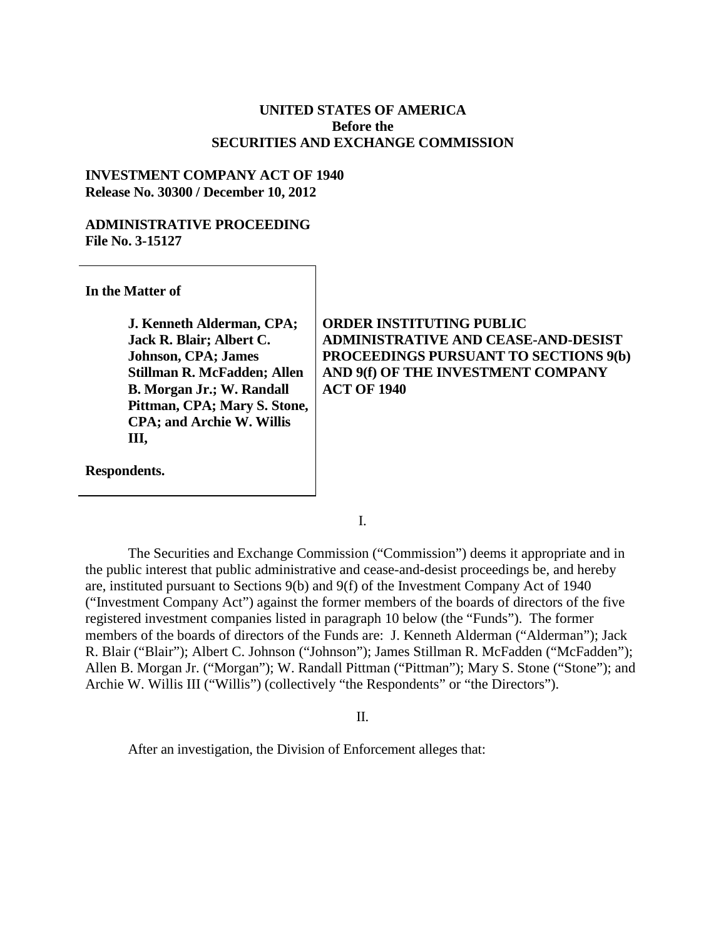### **UNITED STATES OF AMERICA Before the SECURITIES AND EXCHANGE COMMISSION**

#### **INVESTMENT COMPANY ACT OF 1940 Release No. 30300 / December 10, 2012**

#### **ADMINISTRATIVE PROCEEDING File No. 3-15127**

**In the Matter of**

**J. Kenneth Alderman, CPA; Jack R. Blair; Albert C. Johnson, CPA; James Stillman R. McFadden; Allen B. Morgan Jr.; W. Randall Pittman, CPA; Mary S. Stone, CPA; and Archie W. Willis III,**

**Respondents.**

## **ORDER INSTITUTING PUBLIC ADMINISTRATIVE AND CEASE-AND-DESIST PROCEEDINGS PURSUANT TO SECTIONS 9(b) AND 9(f) OF THE INVESTMENT COMPANY ACT OF 1940**

I.

The Securities and Exchange Commission ("Commission") deems it appropriate and in the public interest that public administrative and cease-and-desist proceedings be, and hereby are, instituted pursuant to Sections 9(b) and 9(f) of the Investment Company Act of 1940 ("Investment Company Act") against the former members of the boards of directors of the five registered investment companies listed in paragraph 10 below (the "Funds"). The former members of the boards of directors of the Funds are: J. Kenneth Alderman ("Alderman"); Jack R. Blair ("Blair"); Albert C. Johnson ("Johnson"); James Stillman R. McFadden ("McFadden"); Allen B. Morgan Jr. ("Morgan"); W. Randall Pittman ("Pittman"); Mary S. Stone ("Stone"); and Archie W. Willis III ("Willis") (collectively "the Respondents" or "the Directors").

II.

After an investigation, the Division of Enforcement alleges that: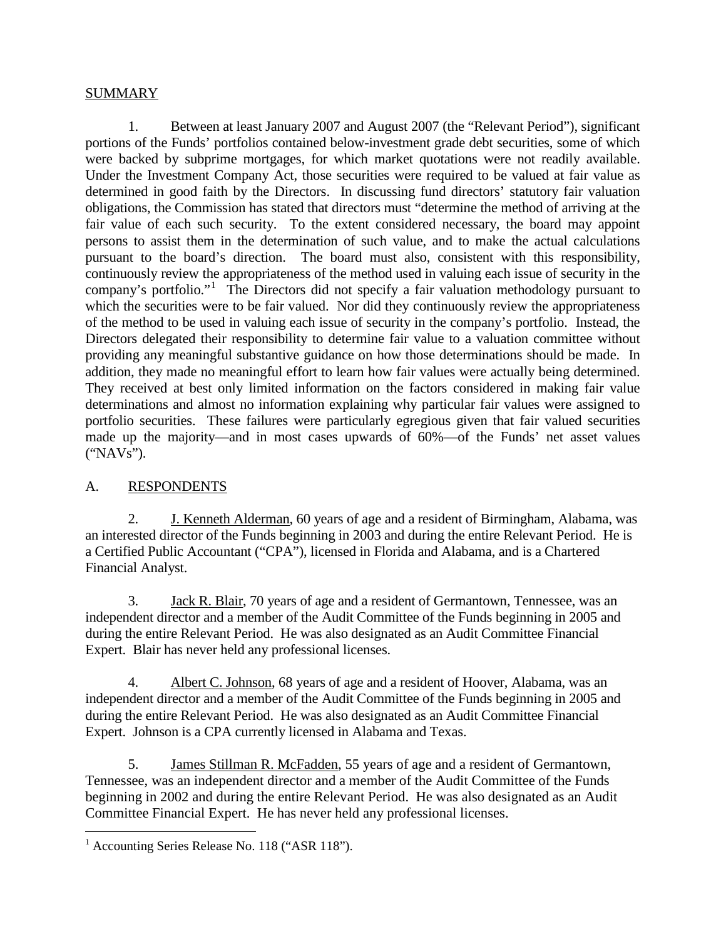# SUMMARY

1. Between at least January 2007 and August 2007 (the "Relevant Period"), significant portions of the Funds' portfolios contained below-investment grade debt securities, some of which were backed by subprime mortgages, for which market quotations were not readily available. Under the Investment Company Act, those securities were required to be valued at fair value as determined in good faith by the Directors. In discussing fund directors' statutory fair valuation obligations, the Commission has stated that directors must "determine the method of arriving at the fair value of each such security. To the extent considered necessary, the board may appoint persons to assist them in the determination of such value, and to make the actual calculations pursuant to the board's direction. The board must also, consistent with this responsibility, continuously review the appropriateness of the method used in valuing each issue of security in the company's portfolio."<sup>[1](#page-1-0)</sup> The Directors did not specify a fair valuation methodology pursuant to which the securities were to be fair valued. Nor did they continuously review the appropriateness of the method to be used in valuing each issue of security in the company's portfolio. Instead, the Directors delegated their responsibility to determine fair value to a valuation committee without providing any meaningful substantive guidance on how those determinations should be made. In addition, they made no meaningful effort to learn how fair values were actually being determined. They received at best only limited information on the factors considered in making fair value determinations and almost no information explaining why particular fair values were assigned to portfolio securities. These failures were particularly egregious given that fair valued securities made up the majority—and in most cases upwards of 60%—of the Funds' net asset values ("NAVs").

# A. RESPONDENTS

2. J. Kenneth Alderman, 60 years of age and a resident of Birmingham, Alabama, was an interested director of the Funds beginning in 2003 and during the entire Relevant Period. He is a Certified Public Accountant ("CPA"), licensed in Florida and Alabama, and is a Chartered Financial Analyst.

3. Jack R. Blair, 70 years of age and a resident of Germantown, Tennessee, was an independent director and a member of the Audit Committee of the Funds beginning in 2005 and during the entire Relevant Period. He was also designated as an Audit Committee Financial Expert. Blair has never held any professional licenses.

4. Albert C. Johnson, 68 years of age and a resident of Hoover, Alabama, was an independent director and a member of the Audit Committee of the Funds beginning in 2005 and during the entire Relevant Period. He was also designated as an Audit Committee Financial Expert. Johnson is a CPA currently licensed in Alabama and Texas.

5. James Stillman R. McFadden, 55 years of age and a resident of Germantown, Tennessee, was an independent director and a member of the Audit Committee of the Funds beginning in 2002 and during the entire Relevant Period. He was also designated as an Audit Committee Financial Expert. He has never held any professional licenses.

<span id="page-1-0"></span> $<sup>1</sup>$  Accounting Series Release No. 118 ("ASR 118").</sup>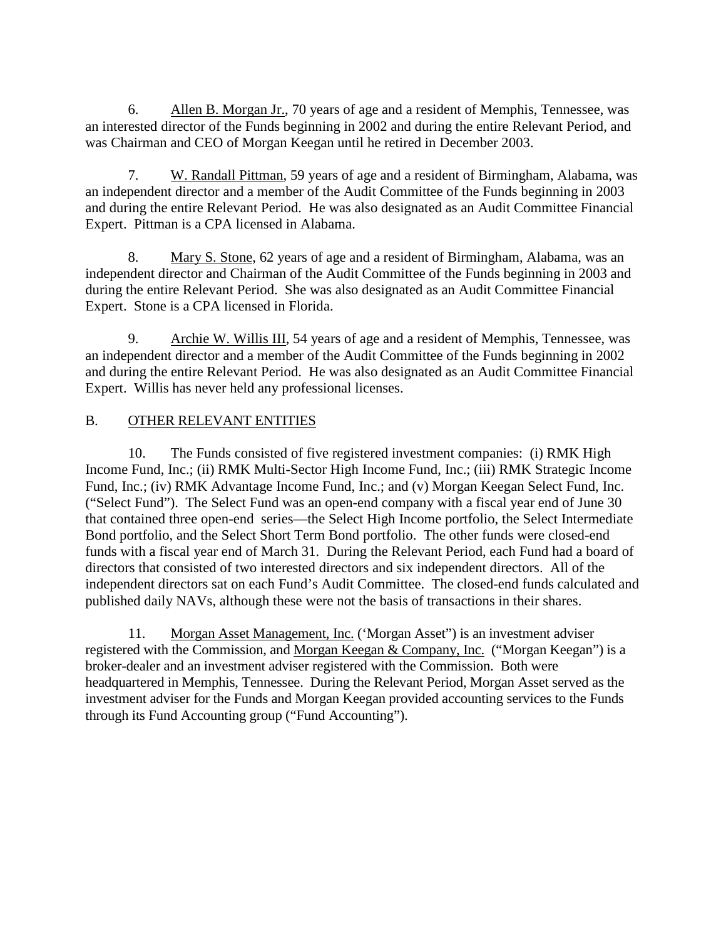6. Allen B. Morgan Jr., 70 years of age and a resident of Memphis, Tennessee, was an interested director of the Funds beginning in 2002 and during the entire Relevant Period, and was Chairman and CEO of Morgan Keegan until he retired in December 2003.

7. W. Randall Pittman, 59 years of age and a resident of Birmingham, Alabama, was an independent director and a member of the Audit Committee of the Funds beginning in 2003 and during the entire Relevant Period. He was also designated as an Audit Committee Financial Expert. Pittman is a CPA licensed in Alabama.

8. Mary S. Stone, 62 years of age and a resident of Birmingham, Alabama, was an independent director and Chairman of the Audit Committee of the Funds beginning in 2003 and during the entire Relevant Period. She was also designated as an Audit Committee Financial Expert. Stone is a CPA licensed in Florida.

9. Archie W. Willis III, 54 years of age and a resident of Memphis, Tennessee, was an independent director and a member of the Audit Committee of the Funds beginning in 2002 and during the entire Relevant Period. He was also designated as an Audit Committee Financial Expert. Willis has never held any professional licenses.

# B. OTHER RELEVANT ENTITIES

10. The Funds consisted of five registered investment companies: (i) RMK High Income Fund, Inc.; (ii) RMK Multi-Sector High Income Fund, Inc.; (iii) RMK Strategic Income Fund, Inc.; (iv) RMK Advantage Income Fund, Inc.; and (v) Morgan Keegan Select Fund, Inc. ("Select Fund"). The Select Fund was an open-end company with a fiscal year end of June 30 that contained three open-end series—the Select High Income portfolio, the Select Intermediate Bond portfolio, and the Select Short Term Bond portfolio. The other funds were closed-end funds with a fiscal year end of March 31. During the Relevant Period, each Fund had a board of directors that consisted of two interested directors and six independent directors. All of the independent directors sat on each Fund's Audit Committee. The closed-end funds calculated and published daily NAVs, although these were not the basis of transactions in their shares.

11. Morgan Asset Management, Inc. ('Morgan Asset") is an investment adviser registered with the Commission, and Morgan Keegan & Company, Inc. ("Morgan Keegan") is a broker-dealer and an investment adviser registered with the Commission. Both were headquartered in Memphis, Tennessee. During the Relevant Period, Morgan Asset served as the investment adviser for the Funds and Morgan Keegan provided accounting services to the Funds through its Fund Accounting group ("Fund Accounting").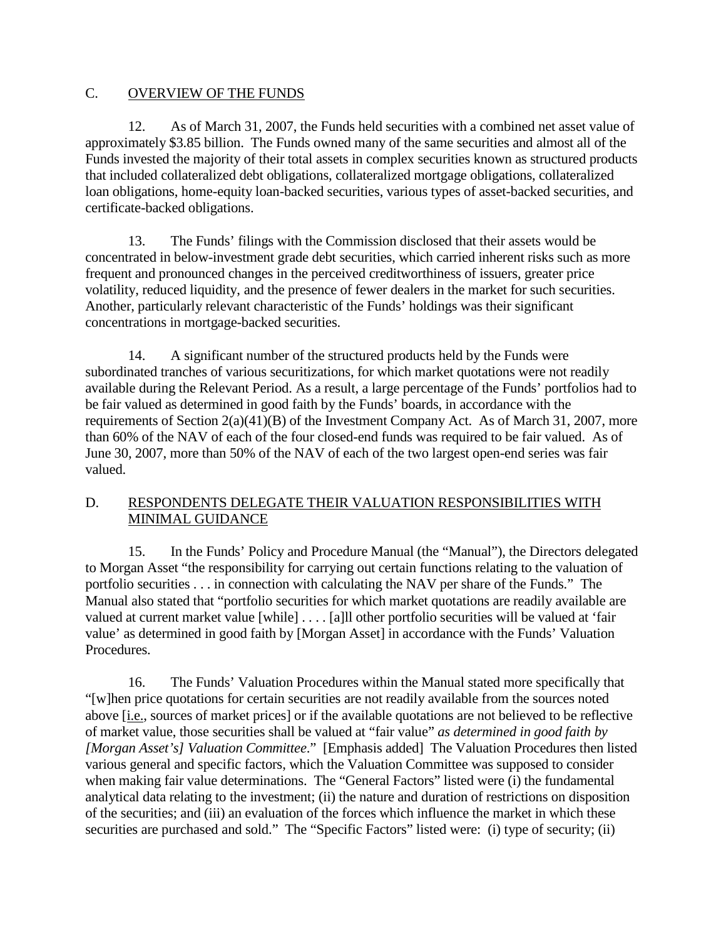# C. OVERVIEW OF THE FUNDS

12. As of March 31, 2007, the Funds held securities with a combined net asset value of approximately \$3.85 billion. The Funds owned many of the same securities and almost all of the Funds invested the majority of their total assets in complex securities known as structured products that included collateralized debt obligations, collateralized mortgage obligations, collateralized loan obligations, home-equity loan-backed securities, various types of asset-backed securities, and certificate-backed obligations.

13. The Funds' filings with the Commission disclosed that their assets would be concentrated in below-investment grade debt securities, which carried inherent risks such as more frequent and pronounced changes in the perceived creditworthiness of issuers, greater price volatility, reduced liquidity, and the presence of fewer dealers in the market for such securities. Another, particularly relevant characteristic of the Funds' holdings was their significant concentrations in mortgage-backed securities.

14. A significant number of the structured products held by the Funds were subordinated tranches of various securitizations, for which market quotations were not readily available during the Relevant Period. As a result, a large percentage of the Funds' portfolios had to be fair valued as determined in good faith by the Funds' boards, in accordance with the requirements of Section 2(a)(41)(B) of the Investment Company Act. As of March 31, 2007, more than 60% of the NAV of each of the four closed-end funds was required to be fair valued. As of June 30, 2007, more than 50% of the NAV of each of the two largest open-end series was fair valued.

# D. RESPONDENTS DELEGATE THEIR VALUATION RESPONSIBILITIES WITH MINIMAL GUIDANCE

15. In the Funds' Policy and Procedure Manual (the "Manual"), the Directors delegated to Morgan Asset "the responsibility for carrying out certain functions relating to the valuation of portfolio securities . . . in connection with calculating the NAV per share of the Funds." The Manual also stated that "portfolio securities for which market quotations are readily available are valued at current market value [while] . . . . [a]ll other portfolio securities will be valued at 'fair value' as determined in good faith by [Morgan Asset] in accordance with the Funds' Valuation Procedures.

16. The Funds' Valuation Procedures within the Manual stated more specifically that "[w]hen price quotations for certain securities are not readily available from the sources noted above [i.e., sources of market prices] or if the available quotations are not believed to be reflective of market value, those securities shall be valued at "fair value" *as determined in good faith by [Morgan Asset's] Valuation Committee*." [Emphasis added] The Valuation Procedures then listed various general and specific factors, which the Valuation Committee was supposed to consider when making fair value determinations. The "General Factors" listed were (i) the fundamental analytical data relating to the investment; (ii) the nature and duration of restrictions on disposition of the securities; and (iii) an evaluation of the forces which influence the market in which these securities are purchased and sold." The "Specific Factors" listed were: (i) type of security; (ii)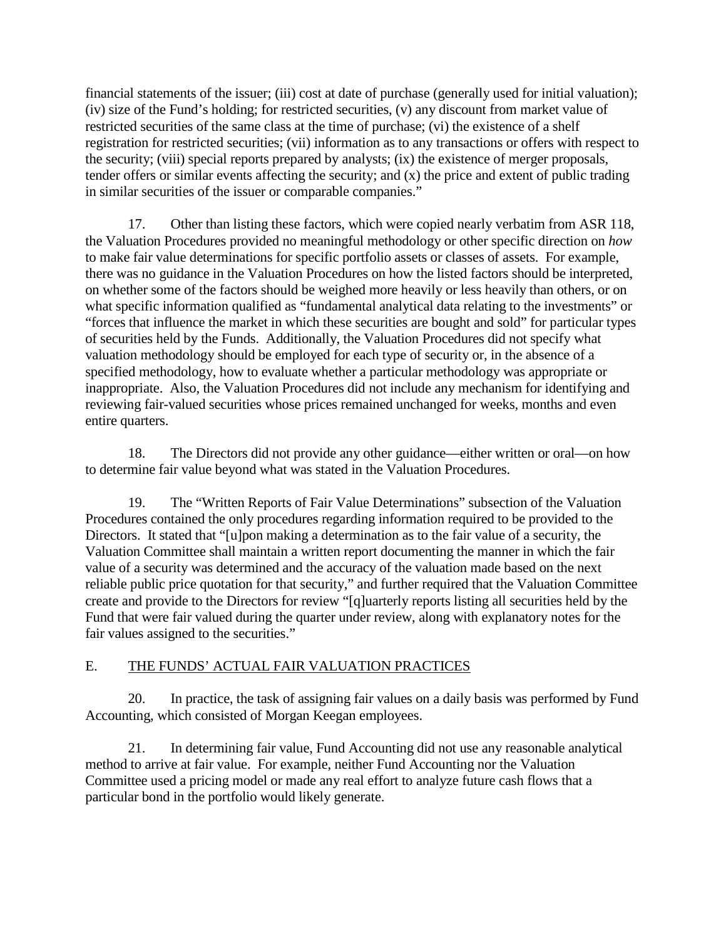financial statements of the issuer; (iii) cost at date of purchase (generally used for initial valuation); (iv) size of the Fund's holding; for restricted securities, (v) any discount from market value of restricted securities of the same class at the time of purchase; (vi) the existence of a shelf registration for restricted securities; (vii) information as to any transactions or offers with respect to the security; (viii) special reports prepared by analysts; (ix) the existence of merger proposals, tender offers or similar events affecting the security; and (x) the price and extent of public trading in similar securities of the issuer or comparable companies."

17. Other than listing these factors, which were copied nearly verbatim from ASR 118, the Valuation Procedures provided no meaningful methodology or other specific direction on *how* to make fair value determinations for specific portfolio assets or classes of assets. For example, there was no guidance in the Valuation Procedures on how the listed factors should be interpreted, on whether some of the factors should be weighed more heavily or less heavily than others, or on what specific information qualified as "fundamental analytical data relating to the investments" or "forces that influence the market in which these securities are bought and sold" for particular types of securities held by the Funds. Additionally, the Valuation Procedures did not specify what valuation methodology should be employed for each type of security or, in the absence of a specified methodology, how to evaluate whether a particular methodology was appropriate or inappropriate. Also, the Valuation Procedures did not include any mechanism for identifying and reviewing fair-valued securities whose prices remained unchanged for weeks, months and even entire quarters.

18. The Directors did not provide any other guidance—either written or oral—on how to determine fair value beyond what was stated in the Valuation Procedures.

19. The "Written Reports of Fair Value Determinations" subsection of the Valuation Procedures contained the only procedures regarding information required to be provided to the Directors. It stated that "[u]pon making a determination as to the fair value of a security, the Valuation Committee shall maintain a written report documenting the manner in which the fair value of a security was determined and the accuracy of the valuation made based on the next reliable public price quotation for that security," and further required that the Valuation Committee create and provide to the Directors for review "[q]uarterly reports listing all securities held by the Fund that were fair valued during the quarter under review, along with explanatory notes for the fair values assigned to the securities."

# E. THE FUNDS' ACTUAL FAIR VALUATION PRACTICES

20. In practice, the task of assigning fair values on a daily basis was performed by Fund Accounting, which consisted of Morgan Keegan employees.

21. In determining fair value, Fund Accounting did not use any reasonable analytical method to arrive at fair value. For example, neither Fund Accounting nor the Valuation Committee used a pricing model or made any real effort to analyze future cash flows that a particular bond in the portfolio would likely generate.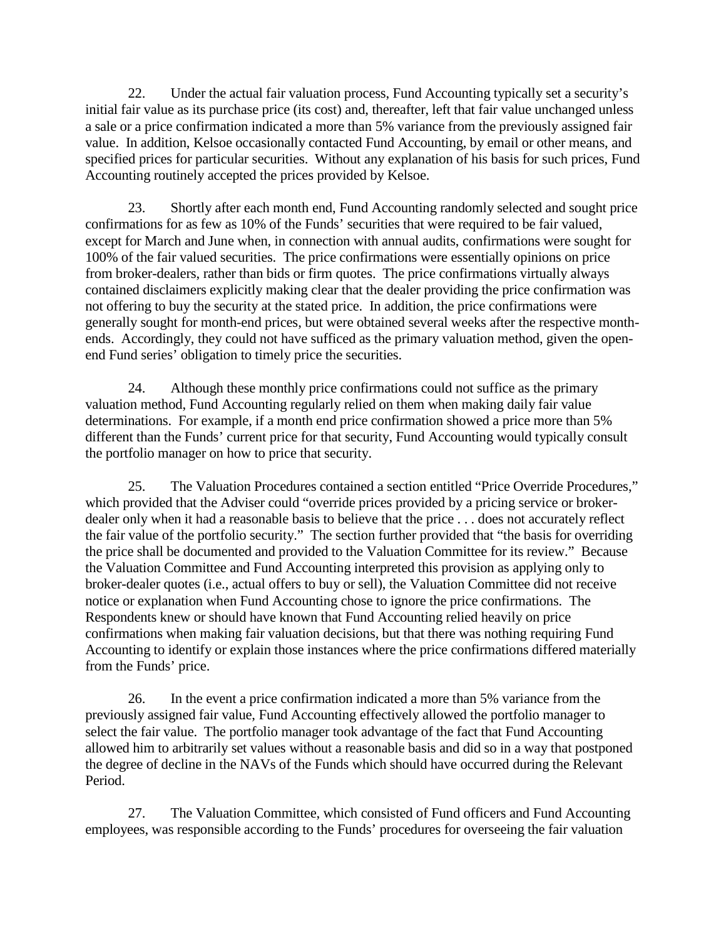22. Under the actual fair valuation process, Fund Accounting typically set a security's initial fair value as its purchase price (its cost) and, thereafter, left that fair value unchanged unless a sale or a price confirmation indicated a more than 5% variance from the previously assigned fair value. In addition, Kelsoe occasionally contacted Fund Accounting, by email or other means, and specified prices for particular securities. Without any explanation of his basis for such prices, Fund Accounting routinely accepted the prices provided by Kelsoe.

23. Shortly after each month end, Fund Accounting randomly selected and sought price confirmations for as few as 10% of the Funds' securities that were required to be fair valued, except for March and June when, in connection with annual audits, confirmations were sought for 100% of the fair valued securities. The price confirmations were essentially opinions on price from broker-dealers, rather than bids or firm quotes. The price confirmations virtually always contained disclaimers explicitly making clear that the dealer providing the price confirmation was not offering to buy the security at the stated price. In addition, the price confirmations were generally sought for month-end prices, but were obtained several weeks after the respective monthends. Accordingly, they could not have sufficed as the primary valuation method, given the openend Fund series' obligation to timely price the securities.

24. Although these monthly price confirmations could not suffice as the primary valuation method, Fund Accounting regularly relied on them when making daily fair value determinations. For example, if a month end price confirmation showed a price more than 5% different than the Funds' current price for that security, Fund Accounting would typically consult the portfolio manager on how to price that security.

25. The Valuation Procedures contained a section entitled "Price Override Procedures," which provided that the Adviser could "override prices provided by a pricing service or brokerdealer only when it had a reasonable basis to believe that the price . . . does not accurately reflect the fair value of the portfolio security." The section further provided that "the basis for overriding the price shall be documented and provided to the Valuation Committee for its review." Because the Valuation Committee and Fund Accounting interpreted this provision as applying only to broker-dealer quotes (i.e., actual offers to buy or sell), the Valuation Committee did not receive notice or explanation when Fund Accounting chose to ignore the price confirmations. The Respondents knew or should have known that Fund Accounting relied heavily on price confirmations when making fair valuation decisions, but that there was nothing requiring Fund Accounting to identify or explain those instances where the price confirmations differed materially from the Funds' price.

26. In the event a price confirmation indicated a more than 5% variance from the previously assigned fair value, Fund Accounting effectively allowed the portfolio manager to select the fair value. The portfolio manager took advantage of the fact that Fund Accounting allowed him to arbitrarily set values without a reasonable basis and did so in a way that postponed the degree of decline in the NAVs of the Funds which should have occurred during the Relevant Period.

27. The Valuation Committee, which consisted of Fund officers and Fund Accounting employees, was responsible according to the Funds' procedures for overseeing the fair valuation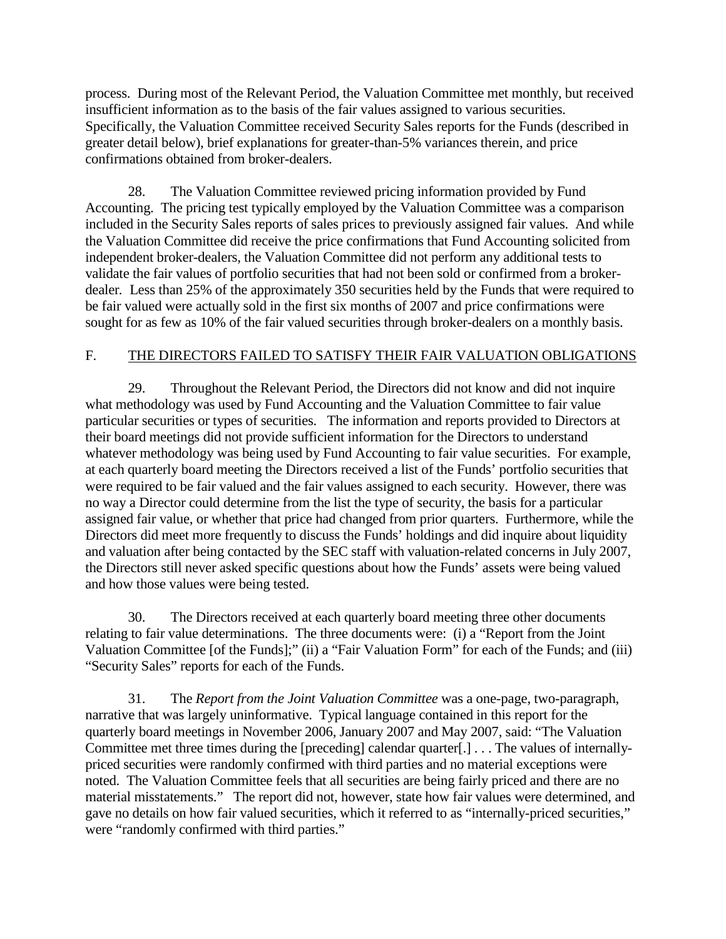process. During most of the Relevant Period, the Valuation Committee met monthly, but received insufficient information as to the basis of the fair values assigned to various securities. Specifically, the Valuation Committee received Security Sales reports for the Funds (described in greater detail below), brief explanations for greater-than-5% variances therein, and price confirmations obtained from broker-dealers.

28. The Valuation Committee reviewed pricing information provided by Fund Accounting. The pricing test typically employed by the Valuation Committee was a comparison included in the Security Sales reports of sales prices to previously assigned fair values. And while the Valuation Committee did receive the price confirmations that Fund Accounting solicited from independent broker-dealers, the Valuation Committee did not perform any additional tests to validate the fair values of portfolio securities that had not been sold or confirmed from a brokerdealer*.* Less than 25% of the approximately 350 securities held by the Funds that were required to be fair valued were actually sold in the first six months of 2007 and price confirmations were sought for as few as 10% of the fair valued securities through broker-dealers on a monthly basis.

# F. THE DIRECTORS FAILED TO SATISFY THEIR FAIR VALUATION OBLIGATIONS

29. Throughout the Relevant Period, the Directors did not know and did not inquire what methodology was used by Fund Accounting and the Valuation Committee to fair value particular securities or types of securities. The information and reports provided to Directors at their board meetings did not provide sufficient information for the Directors to understand whatever methodology was being used by Fund Accounting to fair value securities. For example, at each quarterly board meeting the Directors received a list of the Funds' portfolio securities that were required to be fair valued and the fair values assigned to each security. However, there was no way a Director could determine from the list the type of security, the basis for a particular assigned fair value, or whether that price had changed from prior quarters. Furthermore, while the Directors did meet more frequently to discuss the Funds' holdings and did inquire about liquidity and valuation after being contacted by the SEC staff with valuation-related concerns in July 2007, the Directors still never asked specific questions about how the Funds' assets were being valued and how those values were being tested.

30. The Directors received at each quarterly board meeting three other documents relating to fair value determinations. The three documents were: (i) a "Report from the Joint Valuation Committee [of the Funds];" (ii) a "Fair Valuation Form" for each of the Funds; and (iii) "Security Sales" reports for each of the Funds.

31. The *Report from the Joint Valuation Committee* was a one-page, two-paragraph, narrative that was largely uninformative. Typical language contained in this report for the quarterly board meetings in November 2006, January 2007 and May 2007, said: "The Valuation Committee met three times during the [preceding] calendar quarter[.] . . . The values of internallypriced securities were randomly confirmed with third parties and no material exceptions were noted. The Valuation Committee feels that all securities are being fairly priced and there are no material misstatements." The report did not, however, state how fair values were determined, and gave no details on how fair valued securities, which it referred to as "internally-priced securities," were "randomly confirmed with third parties."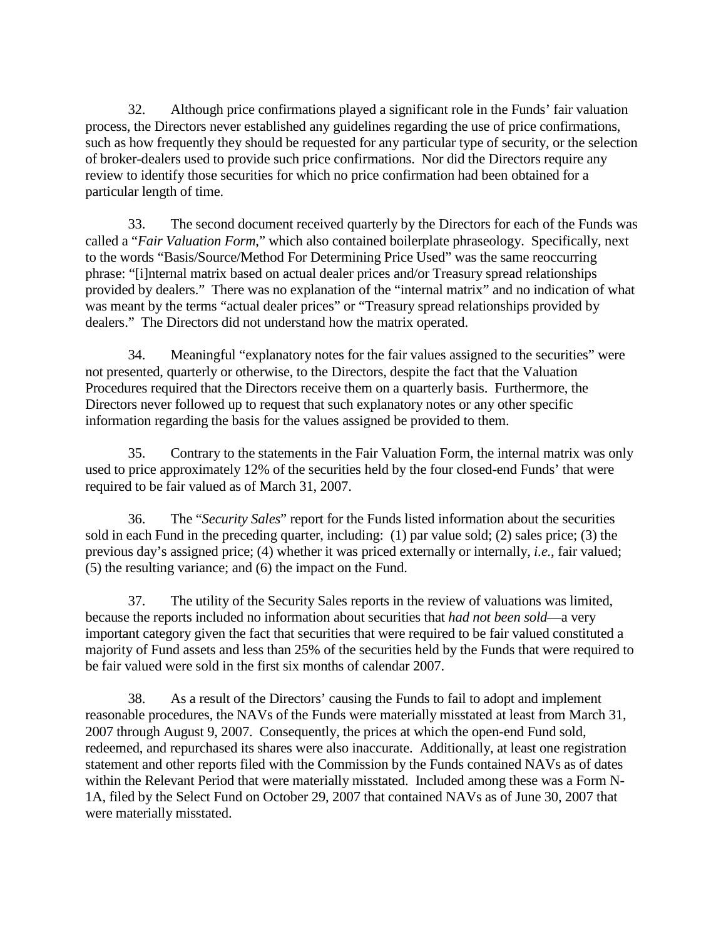32. Although price confirmations played a significant role in the Funds' fair valuation process, the Directors never established any guidelines regarding the use of price confirmations, such as how frequently they should be requested for any particular type of security, or the selection of broker-dealers used to provide such price confirmations. Nor did the Directors require any review to identify those securities for which no price confirmation had been obtained for a particular length of time.

33. The second document received quarterly by the Directors for each of the Funds was called a "*Fair Valuation Form*," which also contained boilerplate phraseology. Specifically, next to the words "Basis/Source/Method For Determining Price Used" was the same reoccurring phrase: "[i]nternal matrix based on actual dealer prices and/or Treasury spread relationships provided by dealers." There was no explanation of the "internal matrix" and no indication of what was meant by the terms "actual dealer prices" or "Treasury spread relationships provided by dealers." The Directors did not understand how the matrix operated.

34. Meaningful "explanatory notes for the fair values assigned to the securities" were not presented, quarterly or otherwise, to the Directors, despite the fact that the Valuation Procedures required that the Directors receive them on a quarterly basis. Furthermore, the Directors never followed up to request that such explanatory notes or any other specific information regarding the basis for the values assigned be provided to them.

35. Contrary to the statements in the Fair Valuation Form, the internal matrix was only used to price approximately 12% of the securities held by the four closed-end Funds' that were required to be fair valued as of March 31, 2007.

36. The "*Security Sales*" report for the Funds listed information about the securities sold in each Fund in the preceding quarter, including: (1) par value sold; (2) sales price; (3) the previous day's assigned price; (4) whether it was priced externally or internally, *i.e.*, fair valued; (5) the resulting variance; and (6) the impact on the Fund.

37. The utility of the Security Sales reports in the review of valuations was limited, because the reports included no information about securities that *had not been sold*—a very important category given the fact that securities that were required to be fair valued constituted a majority of Fund assets and less than 25% of the securities held by the Funds that were required to be fair valued were sold in the first six months of calendar 2007.

38. As a result of the Directors' causing the Funds to fail to adopt and implement reasonable procedures, the NAVs of the Funds were materially misstated at least from March 31, 2007 through August 9, 2007. Consequently, the prices at which the open-end Fund sold, redeemed, and repurchased its shares were also inaccurate. Additionally, at least one registration statement and other reports filed with the Commission by the Funds contained NAVs as of dates within the Relevant Period that were materially misstated. Included among these was a Form N-1A, filed by the Select Fund on October 29, 2007 that contained NAVs as of June 30, 2007 that were materially misstated.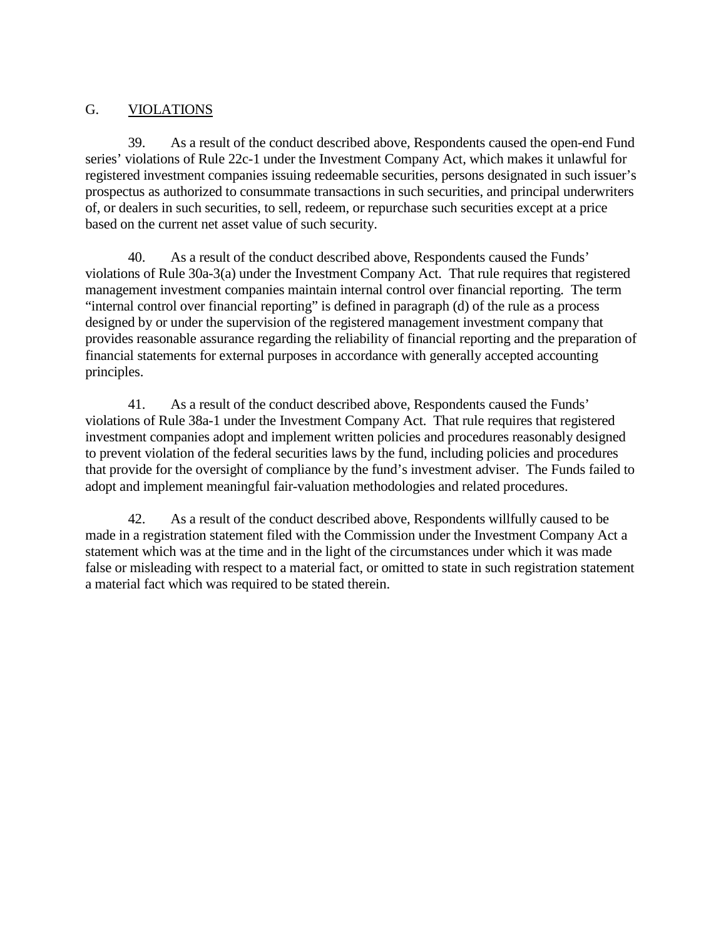# G. VIOLATIONS

39. As a result of the conduct described above, Respondents caused the open-end Fund series' violations of Rule 22c-1 under the Investment Company Act, which makes it unlawful for registered investment companies issuing redeemable securities, persons designated in such issuer's prospectus as authorized to consummate transactions in such securities, and principal underwriters of, or dealers in such securities, to sell, redeem, or repurchase such securities except at a price based on the current net asset value of such security.

40. As a result of the conduct described above, Respondents caused the Funds' violations of Rule 30a-3(a) under the Investment Company Act. That rule requires that registered management investment companies maintain internal control over financial reporting. The term "internal control over financial reporting" is defined in paragraph (d) of the rule as a process designed by or under the supervision of the registered management investment company that provides reasonable assurance regarding the reliability of financial reporting and the preparation of financial statements for external purposes in accordance with generally accepted accounting principles.

41. As a result of the conduct described above, Respondents caused the Funds' violations of Rule 38a-1 under the Investment Company Act. That rule requires that registered investment companies adopt and implement written policies and procedures reasonably designed to prevent violation of the federal securities laws by the fund, including policies and procedures that provide for the oversight of compliance by the fund's investment adviser. The Funds failed to adopt and implement meaningful fair-valuation methodologies and related procedures.

42. As a result of the conduct described above, Respondents willfully caused to be made in a registration statement filed with the Commission under the Investment Company Act a statement which was at the time and in the light of the circumstances under which it was made false or misleading with respect to a material fact, or omitted to state in such registration statement a material fact which was required to be stated therein.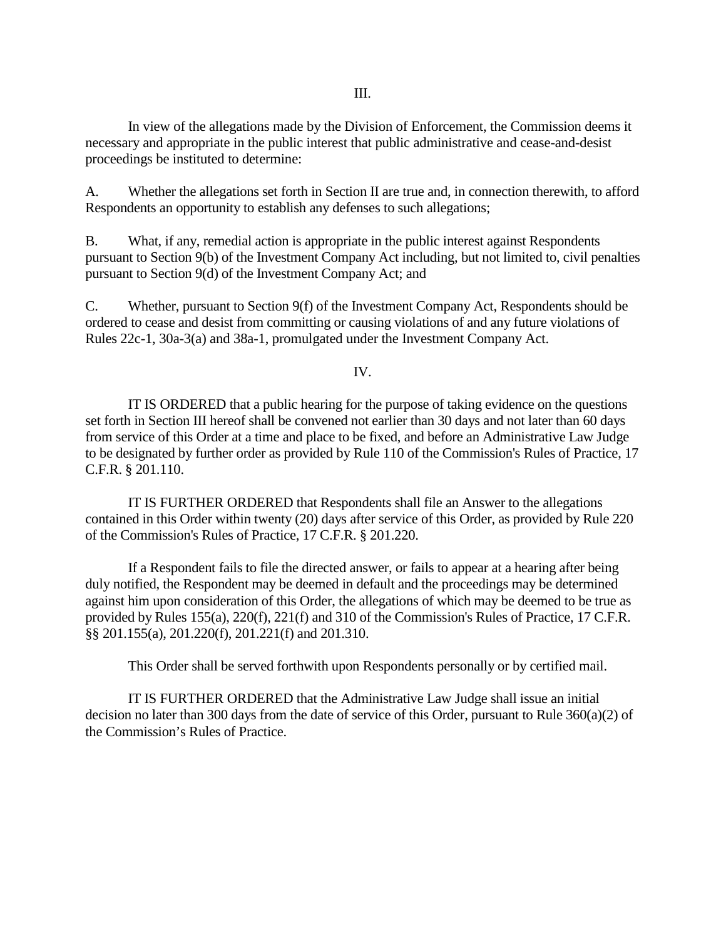In view of the allegations made by the Division of Enforcement, the Commission deems it necessary and appropriate in the public interest that public administrative and cease-and-desist proceedings be instituted to determine:

A. Whether the allegations set forth in Section II are true and, in connection therewith, to afford Respondents an opportunity to establish any defenses to such allegations;

B. What, if any, remedial action is appropriate in the public interest against Respondents pursuant to Section 9(b) of the Investment Company Act including, but not limited to, civil penalties pursuant to Section 9(d) of the Investment Company Act; and

C. Whether, pursuant to Section 9(f) of the Investment Company Act, Respondents should be ordered to cease and desist from committing or causing violations of and any future violations of Rules 22c-1, 30a-3(a) and 38a-1, promulgated under the Investment Company Act.

IV.

IT IS ORDERED that a public hearing for the purpose of taking evidence on the questions set forth in Section III hereof shall be convened not earlier than 30 days and not later than 60 days from service of this Order at a time and place to be fixed, and before an Administrative Law Judge to be designated by further order as provided by Rule 110 of the Commission's Rules of Practice, 17 C.F.R. § 201.110.

IT IS FURTHER ORDERED that Respondents shall file an Answer to the allegations contained in this Order within twenty (20) days after service of this Order, as provided by Rule 220 of the Commission's Rules of Practice, 17 C.F.R. § 201.220.

If a Respondent fails to file the directed answer, or fails to appear at a hearing after being duly notified, the Respondent may be deemed in default and the proceedings may be determined against him upon consideration of this Order, the allegations of which may be deemed to be true as provided by Rules 155(a), 220(f), 221(f) and 310 of the Commission's Rules of Practice, 17 C.F.R. §§ 201.155(a), 201.220(f), 201.221(f) and 201.310.

This Order shall be served forthwith upon Respondents personally or by certified mail.

IT IS FURTHER ORDERED that the Administrative Law Judge shall issue an initial decision no later than 300 days from the date of service of this Order, pursuant to Rule 360(a)(2) of the Commission's Rules of Practice.